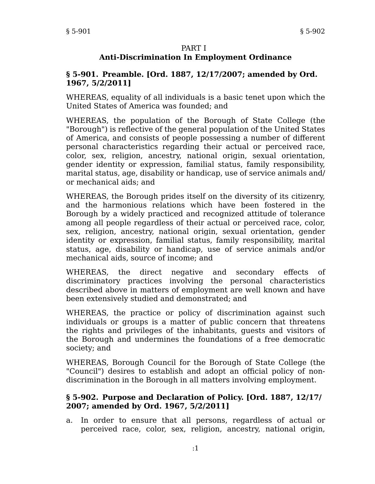#### PART I

## **Anti-Discrimination In Employment Ordinance**

#### **§ 5-901. Preamble. [Ord. 1887, 12/17/2007; amended by Ord. 1967, 5/2/2011]**

WHEREAS, equality of all individuals is a basic tenet upon which the United States of America was founded; and

WHEREAS, the population of the Borough of State College (the "Borough") is reflective of the general population of the United States of America, and consists of people possessing a number of different personal characteristics regarding their actual or perceived race, color, sex, religion, ancestry, national origin, sexual orientation, gender identity or expression, familial status, family responsibility, marital status, age, disability or handicap, use of service animals and/ or mechanical aids; and

WHEREAS, the Borough prides itself on the diversity of its citizenry, and the harmonious relations which have been fostered in the Borough by a widely practiced and recognized attitude of tolerance among all people regardless of their actual or perceived race, color, sex, religion, ancestry, national origin, sexual orientation, gender identity or expression, familial status, family responsibility, marital status, age, disability or handicap, use of service animals and/or mechanical aids, source of income; and

WHEREAS, the direct negative and secondary effects of discriminatory practices involving the personal characteristics described above in matters of employment are well known and have been extensively studied and demonstrated; and

WHEREAS, the practice or policy of discrimination against such individuals or groups is a matter of public concern that threatens the rights and privileges of the inhabitants, guests and visitors of the Borough and undermines the foundations of a free democratic society; and

WHEREAS, Borough Council for the Borough of State College (the "Council") desires to establish and adopt an official policy of nondiscrimination in the Borough in all matters involving employment.

#### **§ 5-902. Purpose and Declaration of Policy. [Ord. 1887, 12/17/ 2007; amended by Ord. 1967, 5/2/2011]**

a. In order to ensure that all persons, regardless of actual or perceived race, color, sex, religion, ancestry, national origin,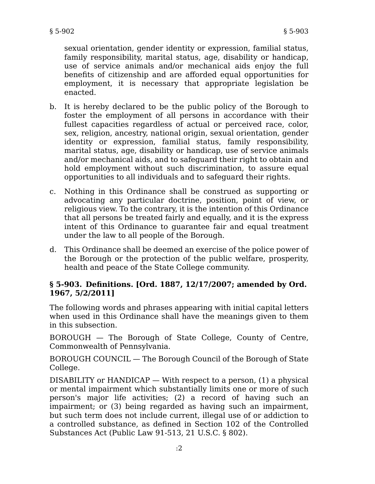sexual orientation, gender identity or expression, familial status, family responsibility, marital status, age, disability or handicap, use of service animals and/or mechanical aids enjoy the full benefits of citizenship and are afforded equal opportunities for employment, it is necessary that appropriate legislation be enacted.

- b. It is hereby declared to be the public policy of the Borough to foster the employment of all persons in accordance with their fullest capacities regardless of actual or perceived race, color, sex, religion, ancestry, national origin, sexual orientation, gender identity or expression, familial status, family responsibility, marital status, age, disability or handicap, use of service animals and/or mechanical aids, and to safeguard their right to obtain and hold employment without such discrimination, to assure equal opportunities to all individuals and to safeguard their rights.
- c. Nothing in this Ordinance shall be construed as supporting or advocating any particular doctrine, position, point of view, or religious view. To the contrary, it is the intention of this Ordinance that all persons be treated fairly and equally, and it is the express intent of this Ordinance to guarantee fair and equal treatment under the law to all people of the Borough.
- d. This Ordinance shall be deemed an exercise of the police power of the Borough or the protection of the public welfare, prosperity, health and peace of the State College community.

### **§ 5-903. Definitions. [Ord. 1887, 12/17/2007; amended by Ord. 1967, 5/2/2011]**

The following words and phrases appearing with initial capital letters when used in this Ordinance shall have the meanings given to them in this subsection.

BOROUGH — The Borough of State College, County of Centre, Commonwealth of Pennsylvania.

BOROUGH COUNCIL — The Borough Council of the Borough of State College.

DISABILITY or HANDICAP  $-$  With respect to a person, (1) a physical or mental impairment which substantially limits one or more of such person's major life activities; (2) a record of having such an impairment; or (3) being regarded as having such an impairment, but such term does not include current, illegal use of or addiction to a controlled substance, as defined in Section 102 of the Controlled Substances Act (Public Law 91-513, 21 U.S.C. § 802).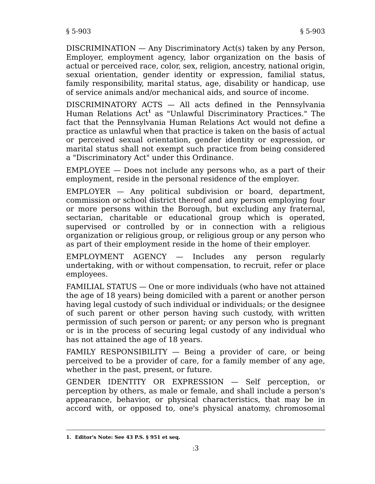DISCRIMINATION — Any Discriminatory Act(s) taken by any Person, Employer, employment agency, labor organization on the basis of actual or perceived race, color, sex, religion, ancestry, national origin, sexual orientation, gender identity or expression, familial status, family responsibility, marital status, age, disability or handicap, use of service animals and/or mechanical aids, and source of income.

DISCRIMINATORY ACTS — All acts defined in the Pennsylvania Human Relations Act**<sup>1</sup>** as "Unlawful Discriminatory Practices." The fact that the Pennsylvania Human Relations Act would not define a practice as unlawful when that practice is taken on the basis of actual or perceived sexual orientation, gender identity or expression, or marital status shall not exempt such practice from being considered a "Discriminatory Act" under this Ordinance.

EMPLOYEE — Does not include any persons who, as a part of their employment, reside in the personal residence of the employer.

EMPLOYER — Any political subdivision or board, department, commission or school district thereof and any person employing four or more persons within the Borough, but excluding any fraternal, sectarian, charitable or educational group which is operated, supervised or controlled by or in connection with a religious organization or religious group, or religious group or any person who as part of their employment reside in the home of their employer.

EMPLOYMENT AGENCY — Includes any person regularly undertaking, with or without compensation, to recruit, refer or place employees.

FAMILIAL STATUS — One or more individuals (who have not attained the age of 18 years) being domiciled with a parent or another person having legal custody of such individual or individuals; or the designee of such parent or other person having such custody, with written permission of such person or parent; or any person who is pregnant or is in the process of securing legal custody of any individual who has not attained the age of 18 years.

FAMILY RESPONSIBILITY — Being a provider of care, or being perceived to be a provider of care, for a family member of any age, whether in the past, present, or future.

GENDER IDENTITY OR EXPRESSION — Self perception, or perception by others, as male or female, and shall include a person's appearance, behavior, or physical characteristics, that may be in accord with, or opposed to, one's physical anatomy, chromosomal

**<sup>1.</sup> Editor's Note: See 43 P.S. § 951 et seq.**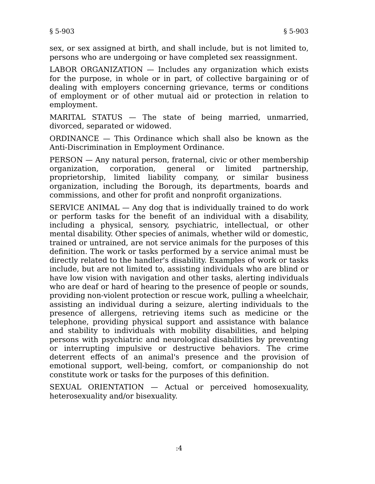sex, or sex assigned at birth, and shall include, but is not limited to, persons who are undergoing or have completed sex reassignment.

LABOR ORGANIZATION — Includes any organization which exists for the purpose, in whole or in part, of collective bargaining or of dealing with employers concerning grievance, terms or conditions of employment or of other mutual aid or protection in relation to employment.

MARITAL STATUS — The state of being married, unmarried, divorced, separated or widowed.

ORDINANCE — This Ordinance which shall also be known as the Anti-Discrimination in Employment Ordinance.

PERSON — Any natural person, fraternal, civic or other membership organization, corporation, general or limited partnership, proprietorship, limited liability company, or similar business organization, including the Borough, its departments, boards and commissions, and other for profit and nonprofit organizations.

SERVICE ANIMAL — Any dog that is individually trained to do work or perform tasks for the benefit of an individual with a disability, including a physical, sensory, psychiatric, intellectual, or other mental disability. Other species of animals, whether wild or domestic, trained or untrained, are not service animals for the purposes of this definition. The work or tasks performed by a service animal must be directly related to the handler's disability. Examples of work or tasks include, but are not limited to, assisting individuals who are blind or have low vision with navigation and other tasks, alerting individuals who are deaf or hard of hearing to the presence of people or sounds, providing non-violent protection or rescue work, pulling a wheelchair, assisting an individual during a seizure, alerting individuals to the presence of allergens, retrieving items such as medicine or the telephone, providing physical support and assistance with balance and stability to individuals with mobility disabilities, and helping persons with psychiatric and neurological disabilities by preventing or interrupting impulsive or destructive behaviors. The crime deterrent effects of an animal's presence and the provision of emotional support, well-being, comfort, or companionship do not constitute work or tasks for the purposes of this definition.

SEXUAL ORIENTATION — Actual or perceived homosexuality, heterosexuality and/or bisexuality.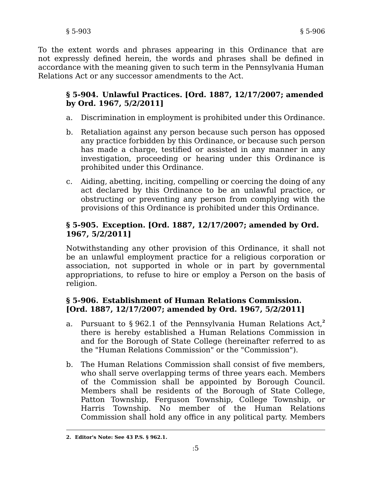To the extent words and phrases appearing in this Ordinance that are not expressly defined herein, the words and phrases shall be defined in accordance with the meaning given to such term in the Pennsylvania Human Relations Act or any successor amendments to the Act.

## **§ 5-904. Unlawful Practices. [Ord. 1887, 12/17/2007; amended by Ord. 1967, 5/2/2011]**

- a. Discrimination in employment is prohibited under this Ordinance.
- b. Retaliation against any person because such person has opposed any practice forbidden by this Ordinance, or because such person has made a charge, testified or assisted in any manner in any investigation, proceeding or hearing under this Ordinance is prohibited under this Ordinance.
- c. Aiding, abetting, inciting, compelling or coercing the doing of any act declared by this Ordinance to be an unlawful practice, or obstructing or preventing any person from complying with the provisions of this Ordinance is prohibited under this Ordinance.

# **§ 5-905. Exception. [Ord. 1887, 12/17/2007; amended by Ord. 1967, 5/2/2011]**

Notwithstanding any other provision of this Ordinance, it shall not be an unlawful employment practice for a religious corporation or association, not supported in whole or in part by governmental appropriations, to refuse to hire or employ a Person on the basis of religion.

## **§ 5-906. Establishment of Human Relations Commission. [Ord. 1887, 12/17/2007; amended by Ord. 1967, 5/2/2011]**

- a. Pursuant to § 962.1 of the Pennsylvania Human Relations Act,**<sup>2</sup>** there is hereby established a Human Relations Commission in and for the Borough of State College (hereinafter referred to as the "Human Relations Commission" or the "Commission").
- b. The Human Relations Commission shall consist of five members, who shall serve overlapping terms of three years each. Members of the Commission shall be appointed by Borough Council. Members shall be residents of the Borough of State College, Patton Township, Ferguson Township, College Township, or Harris Township. No member of the Human Relations Commission shall hold any office in any political party. Members

**<sup>2.</sup> Editor's Note: See 43 P.S. § 962.1.**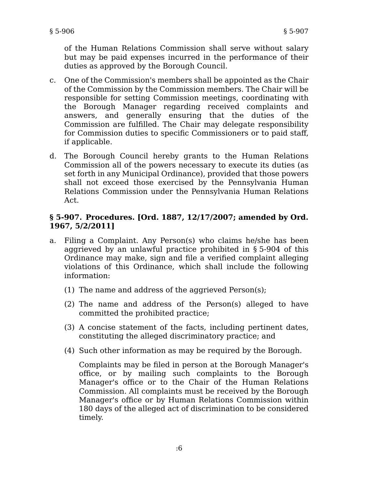of the Human Relations Commission shall serve without salary but may be paid expenses incurred in the performance of their duties as approved by the Borough Council.

- c. One of the Commission's members shall be appointed as the Chair of the Commission by the Commission members. The Chair will be responsible for setting Commission meetings, coordinating with the Borough Manager regarding received complaints and answers, and generally ensuring that the duties of the Commission are fulfilled. The Chair may delegate responsibility for Commission duties to specific Commissioners or to paid staff, if applicable.
- d. The Borough Council hereby grants to the Human Relations Commission all of the powers necessary to execute its duties (as set forth in any Municipal Ordinance), provided that those powers shall not exceed those exercised by the Pennsylvania Human Relations Commission under the Pennsylvania Human Relations Act.

## **§ 5-907. Procedures. [Ord. 1887, 12/17/2007; amended by Ord. 1967, 5/2/2011]**

- a. Filing a Complaint. Any Person(s) who claims he/she has been aggrieved by an unlawful practice prohibited in § 5-904 of this Ordinance may make, sign and file a verified complaint alleging violations of this Ordinance, which shall include the following information:
	- (1) The name and address of the aggrieved Person(s);
	- (2) The name and address of the Person(s) alleged to have committed the prohibited practice;
	- (3) A concise statement of the facts, including pertinent dates, constituting the alleged discriminatory practice; and
	- (4) Such other information as may be required by the Borough.

Complaints may be filed in person at the Borough Manager's office, or by mailing such complaints to the Borough Manager's office or to the Chair of the Human Relations Commission. All complaints must be received by the Borough Manager's office or by Human Relations Commission within 180 days of the alleged act of discrimination to be considered timely.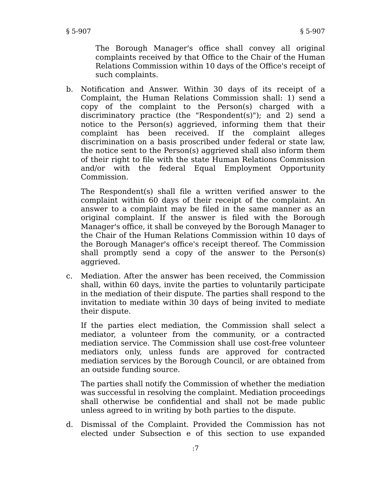The Borough Manager's office shall convey all original complaints received by that Office to the Chair of the Human Relations Commission within 10 days of the Office's receipt of such complaints.

b. Notification and Answer. Within 30 days of its receipt of a Complaint, the Human Relations Commission shall: 1) send a copy of the complaint to the Person(s) charged with a discriminatory practice (the "Respondent(s)"); and 2) send a notice to the Person(s) aggrieved, informing them that their complaint has been received. If the complaint alleges discrimination on a basis proscribed under federal or state law, the notice sent to the Person(s) aggrieved shall also inform them of their right to file with the state Human Relations Commission and/or with the federal Equal Employment Opportunity Commission.

The Respondent(s) shall file a written verified answer to the complaint within 60 days of their receipt of the complaint. An answer to a complaint may be filed in the same manner as an original complaint. If the answer is filed with the Borough Manager's office, it shall be conveyed by the Borough Manager to the Chair of the Human Relations Commission within 10 days of the Borough Manager's office's receipt thereof. The Commission shall promptly send a copy of the answer to the Person(s) aggrieved.

c. Mediation. After the answer has been received, the Commission shall, within 60 days, invite the parties to voluntarily participate in the mediation of their dispute. The parties shall respond to the invitation to mediate within 30 days of being invited to mediate their dispute.

If the parties elect mediation, the Commission shall select a mediator, a volunteer from the community, or a contracted mediation service. The Commission shall use cost-free volunteer mediators only, unless funds are approved for contracted mediation services by the Borough Council, or are obtained from an outside funding source.

The parties shall notify the Commission of whether the mediation was successful in resolving the complaint. Mediation proceedings shall otherwise be confidential and shall not be made public unless agreed to in writing by both parties to the dispute.

d. Dismissal of the Complaint. Provided the Commission has not elected under Subsection e of this section to use expanded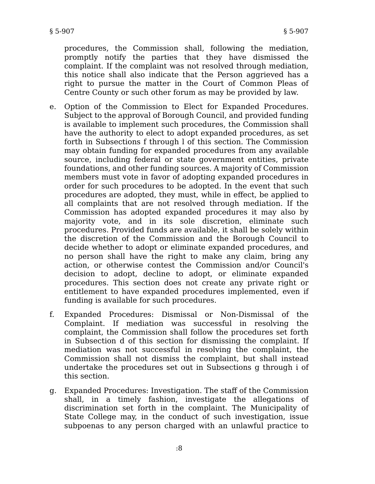procedures, the Commission shall, following the mediation, promptly notify the parties that they have dismissed the complaint. If the complaint was not resolved through mediation, this notice shall also indicate that the Person aggrieved has a right to pursue the matter in the Court of Common Pleas of Centre County or such other forum as may be provided by law.

- e. Option of the Commission to Elect for Expanded Procedures. Subject to the approval of Borough Council, and provided funding is available to implement such procedures, the Commission shall have the authority to elect to adopt expanded procedures, as set forth in Subsections f through l of this section. The Commission may obtain funding for expanded procedures from any available source, including federal or state government entities, private foundations, and other funding sources. A majority of Commission members must vote in favor of adopting expanded procedures in order for such procedures to be adopted. In the event that such procedures are adopted, they must, while in effect, be applied to all complaints that are not resolved through mediation. If the Commission has adopted expanded procedures it may also by majority vote, and in its sole discretion, eliminate such procedures. Provided funds are available, it shall be solely within the discretion of the Commission and the Borough Council to decide whether to adopt or eliminate expanded procedures, and no person shall have the right to make any claim, bring any action, or otherwise contest the Commission and/or Council's decision to adopt, decline to adopt, or eliminate expanded procedures. This section does not create any private right or entitlement to have expanded procedures implemented, even if funding is available for such procedures.
- f. Expanded Procedures: Dismissal or Non-Dismissal of the Complaint. If mediation was successful in resolving the complaint, the Commission shall follow the procedures set forth in Subsection d of this section for dismissing the complaint. If mediation was not successful in resolving the complaint, the Commission shall not dismiss the complaint, but shall instead undertake the procedures set out in Subsections g through i of this section.
- g. Expanded Procedures: Investigation. The staff of the Commission shall, in a timely fashion, investigate the allegations of discrimination set forth in the complaint. The Municipality of State College may, in the conduct of such investigation, issue subpoenas to any person charged with an unlawful practice to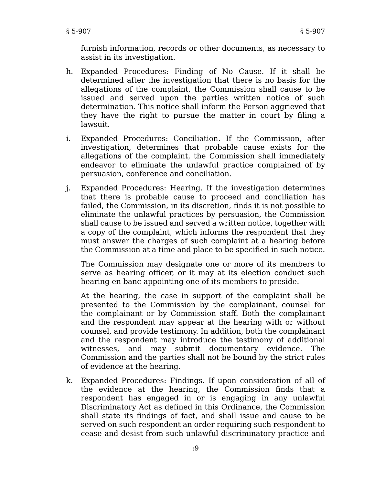furnish information, records or other documents, as necessary to assist in its investigation.

- h. Expanded Procedures: Finding of No Cause. If it shall be determined after the investigation that there is no basis for the allegations of the complaint, the Commission shall cause to be issued and served upon the parties written notice of such determination. This notice shall inform the Person aggrieved that they have the right to pursue the matter in court by filing a lawsuit.
- i. Expanded Procedures: Conciliation. If the Commission, after investigation, determines that probable cause exists for the allegations of the complaint, the Commission shall immediately endeavor to eliminate the unlawful practice complained of by persuasion, conference and conciliation.
- j. Expanded Procedures: Hearing. If the investigation determines that there is probable cause to proceed and conciliation has failed, the Commission, in its discretion, finds it is not possible to eliminate the unlawful practices by persuasion, the Commission shall cause to be issued and served a written notice, together with a copy of the complaint, which informs the respondent that they must answer the charges of such complaint at a hearing before the Commission at a time and place to be specified in such notice.

The Commission may designate one or more of its members to serve as hearing officer, or it may at its election conduct such hearing en banc appointing one of its members to preside.

At the hearing, the case in support of the complaint shall be presented to the Commission by the complainant, counsel for the complainant or by Commission staff. Both the complainant and the respondent may appear at the hearing with or without counsel, and provide testimony. In addition, both the complainant and the respondent may introduce the testimony of additional witnesses, and may submit documentary evidence. The Commission and the parties shall not be bound by the strict rules of evidence at the hearing.

k. Expanded Procedures: Findings. If upon consideration of all of the evidence at the hearing, the Commission finds that a respondent has engaged in or is engaging in any unlawful Discriminatory Act as defined in this Ordinance, the Commission shall state its findings of fact, and shall issue and cause to be served on such respondent an order requiring such respondent to cease and desist from such unlawful discriminatory practice and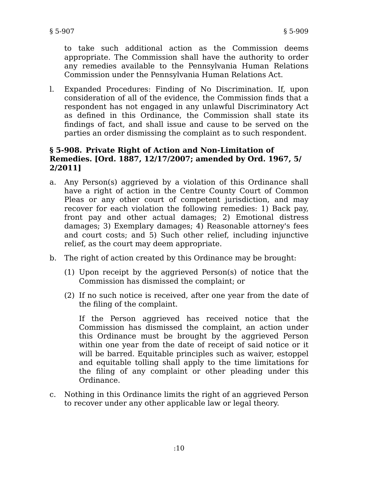to take such additional action as the Commission deems appropriate. The Commission shall have the authority to order any remedies available to the Pennsylvania Human Relations Commission under the Pennsylvania Human Relations Act.

l. Expanded Procedures: Finding of No Discrimination. If, upon consideration of all of the evidence, the Commission finds that a respondent has not engaged in any unlawful Discriminatory Act as defined in this Ordinance, the Commission shall state its findings of fact, and shall issue and cause to be served on the parties an order dismissing the complaint as to such respondent.

### **§ 5-908. Private Right of Action and Non-Limitation of Remedies. [Ord. 1887, 12/17/2007; amended by Ord. 1967, 5/ 2/2011]**

- a. Any Person(s) aggrieved by a violation of this Ordinance shall have a right of action in the Centre County Court of Common Pleas or any other court of competent jurisdiction, and may recover for each violation the following remedies: 1) Back pay, front pay and other actual damages; 2) Emotional distress damages; 3) Exemplary damages; 4) Reasonable attorney's fees and court costs; and 5) Such other relief, including injunctive relief, as the court may deem appropriate.
- b. The right of action created by this Ordinance may be brought:
	- (1) Upon receipt by the aggrieved Person(s) of notice that the Commission has dismissed the complaint; or
	- (2) If no such notice is received, after one year from the date of the filing of the complaint.

If the Person aggrieved has received notice that the Commission has dismissed the complaint, an action under this Ordinance must be brought by the aggrieved Person within one year from the date of receipt of said notice or it will be barred. Equitable principles such as waiver, estoppel and equitable tolling shall apply to the time limitations for the filing of any complaint or other pleading under this Ordinance.

c. Nothing in this Ordinance limits the right of an aggrieved Person to recover under any other applicable law or legal theory.